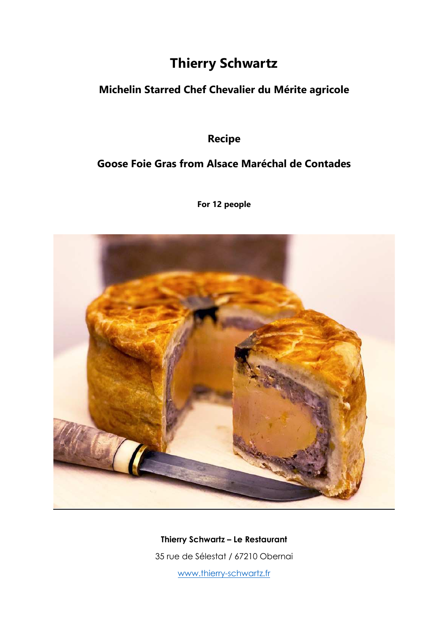# **Thierry Schwartz**

### **Michelin Starred Chef Chevalier du Mérite agricole**

## **Recipe**

### **Goose Foie Gras from Alsace Maréchal de Contades**

**For 12 people** 



**Thierry Schwartz – Le Restaurant**  35 rue de Sélestat / 67210 Obernai

www.thierry-schwartz.fr